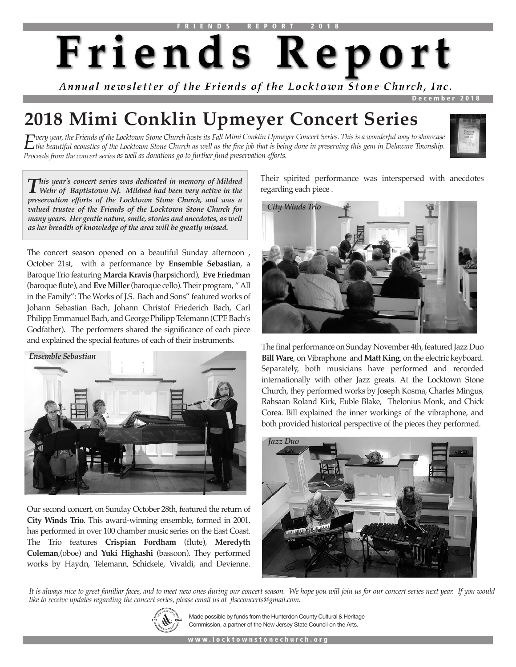# Friends Report

Annual newsletter of the Friends of the Locktown Stone Church, Inc.

 **D e c e m b e r 2 0 1 8**

# **2018 Mimi Conklin Upmeyer Concert Series**

 $E$ very year, the Friends of the Locktown Stone Church hosts its Fall Mimi Conklin Upmeyer Concert Series. This is a wonderful way to showcase  $E$  the beautiful acoustics of the Locktown Stone Church as well as the fine j *Proceeds from the concert series as well as donations go to further fund preservation efforts.*



This year's concert series was dedicated in memory of Mildred<br>Wehr of Baptistown NJ. Mildred had been very active in the *preservation efforts of the Locktown Stone Church, and was a valued trustee of the Friends of the Locktown Stone Church for many years. Her gentle nature, smile, stories and anecdotes, as well as her breadth of knowledge of the area will be greatly missed.*

The concert season opened on a beautiful Sunday afternoon , October 21st, with a performance by **Ensemble Sebastian**, a Baroque Trio featuring **Marcia Kravis** (harpsichord), **Eve Friedman** (baroque flute), and **EveMiller**(baroque cello). Their program, "All in the Family": The Works of J.S. Bach and Sons" featured works of Johann Sebastian Bach, Johann Christof Friederich Bach, Carl Philipp Emmanuel Bach, and George Philipp Telemann (CPE Bach's Godfather). The performers shared the significance of each piece and explained the special features of each of their instruments.



Our second concert, on Sunday October 28th, featured the return of **City Winds Trio**. This award-winning ensemble, formed in 2001, has performed in over 100 chamber music series on the East Coast. The Trio features **Crispian Fordham** (flute), **Meredyth Coleman**,(oboe) and **Yuki Highashi** (bassoon). They performed works by Haydn, Telemann, Schickele, Vivaldi, and Devienne.

Their spirited performance was interspersed with anecdotes regarding each piece .



The final performance on Sunday November 4th, featured Jazz Duo **Bill Ware**, on Vibraphone and **Matt King**, on the electric keyboard. Separately, both musicians have performed and recorded internationally with other Jazz greats. At the Locktown Stone Church, they performed works by Joseph Kosma, Charles Mingus, Rahsaan Roland Kirk, Euble Blake, Thelonius Monk, and Chick Corea. Bill explained the inner workings of the vibraphone, and both provided historical perspective of the pieces they performed.



It is always nice to greet familiar faces, and to meet new ones during our concert season. We hope you will join us for our concert series next year. If you would *like to receive updates regarding the concert series, please email us at flscconcerts@gmail.com.*



Made possible by funds from the Hunterdon County Cultural & Heritage Commission, a partner of the New Jersey State Council on the Arts.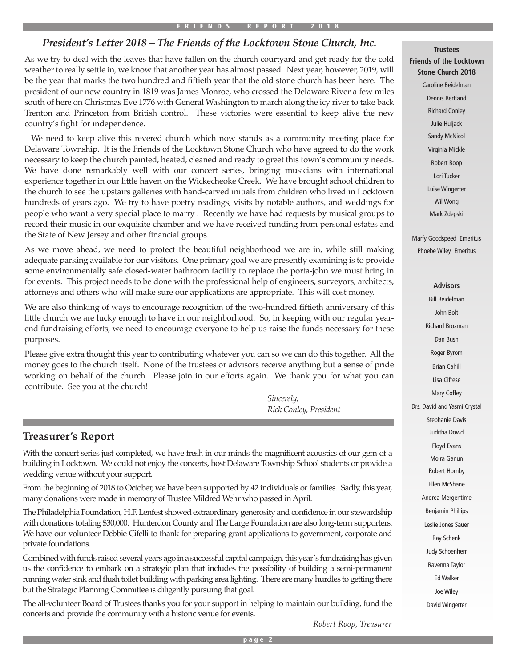#### **F R I E N D S R E P O R T 2 0 1 8**

## *President's Letter 2018 – The Friends of the Locktown Stone Church, Inc.*

As we try to deal with the leaves that have fallen on the church courtyard and get ready for the cold weather to really settle in, we know that another year has almost passed. Next year, however, 2019, will be the year that marks the two hundred and fiftieth year that the old stone church has been here. The president of our new country in 1819 was James Monroe, who crossed the Delaware River a few miles south of here on Christmas Eve 1776 with General Washington to march along the icy river to take back Trenton and Princeton from British control. These victories were essential to keep alive the new country's fight for independence.

We need to keep alive this revered church which now stands as a community meeting place for Delaware Township. It is the Friends of the Locktown Stone Church who have agreed to do the work necessary to keep the church painted, heated, cleaned and ready to greet this town's community needs. We have done remarkably well with our concert series, bringing musicians with international experience together in our little haven on the Wickecheoke Creek. We have brought school children to the church to see the upstairs galleries with hand-carved initials from children who lived in Locktown hundreds of years ago. We try to have poetry readings, visits by notable authors, and weddings for people who want a very special place to marry . Recently we have had requests by musical groups to record their music in our exquisite chamber and we have received funding from personal estates and the State of New Jersey and other financial groups.

As we move ahead, we need to protect the beautiful neighborhood we are in, while still making adequate parking available for our visitors. One primary goal we are presently examining is to provide some environmentally safe closed-water bathroom facility to replace the porta-john we must bring in for events. This project needs to be done with the professional help of engineers, surveyors, architects, attorneys and others who will make sure our applications are appropriate. This will cost money.

We are also thinking of ways to encourage recognition of the two-hundred fiftieth anniversary of this little church we are lucky enough to have in our neighborhood. So, in keeping with our regular yearend fundraising efforts, we need to encourage everyone to help us raise the funds necessary for these purposes.

Please give extra thought this year to contributing whatever you can so we can do this together. All the money goes to the church itself. None of the trustees or advisors receive anything but a sense of pride working on behalf of the church. Please join in our efforts again. We thank you for what you can contribute. See you at the church!

> *Sincerely, Rick Conley, President*

## **Treasurer's Report**

With the concert series just completed, we have fresh in our minds the magnificent acoustics of our gem of a building in Locktown. We could not enjoy the concerts, host Delaware Township School students or provide a wedding venue without your support.

From the beginning of 2018 to October, we have been supported by 42 individuals or families. Sadly, this year, many donations were made in memory of Trustee Mildred Wehr who passed in April.

The Philadelphia Foundation, H.F. Lenfest showed extraordinary generosity and confidence in our stewardship with donations totaling \$30,000. Hunterdon County and The Large Foundation are also long-term supporters. We have our volunteer Debbie Cifelli to thank for preparing grant applications to government, corporate and private foundations.

Combined with funds raised several years ago in a successful capital campaign, this year's fundraising has given us the confidence to embark on a strategic plan that includes the possibility of building a semi-permanent running water sink and flush toilet building with parking area lighting. There are many hurdles to getting there but the Strategic Planning Committee is diligently pursuing that goal.

The all-volunteer Board of Trustees thanks you for your support in helping to maintain our building, fund the concerts and provide the community with a historic venue for events.

**Trustees Friends of the Locktown Stone Church 2018**

> Caroline Beidelman Dennis Bertland Richard Conley Julie Huljack Sandy McNicol Virginia Mickle Robert Roop Lori Tucker Luise Wingerter Wil Wong Mark Zdepski

Marfy Goodspeed Emeritus Phoebe Wiley Emeritus

#### **Advisors**

Bill Beidelman John Bolt Richard Brozman Dan Bush Roger Byrom Brian Cahill Lisa Cifrese Mary Coffey Drs. David and Yasmi Crystal Stephanie Davis Juditha Dowd Floyd Evans Moira Ganun Robert Hornby Ellen McShane Andrea Mergentime Benjamin Phillips Leslie Jones Sauer Ray Schenk Judy Schoenherr Ravenna Taylor Ed Walker Joe Wiley David Wingerter

*Robert Roop, Treasurer*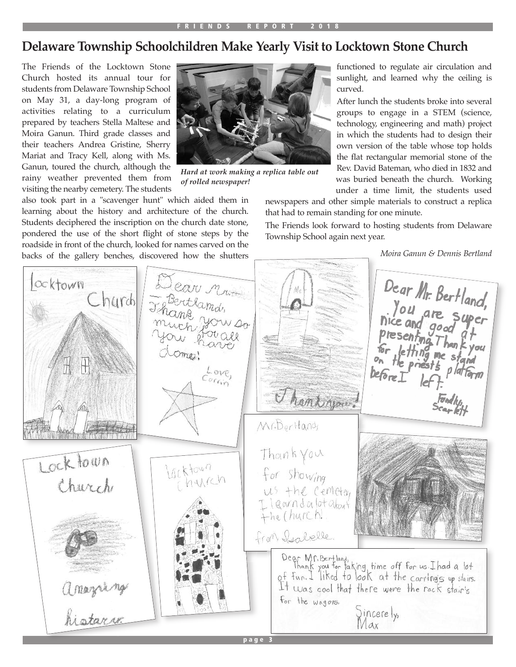# **Delaware Township Schoolchildren Make Yearly Visit to Locktown Stone Church**

The Friends of the Locktown Stone Church hosted its annual tour for students from Delaware Township School on May 31, a day-long program of activities relating to a curriculum prepared by teachers Stella Maltese and Moira Ganun. Third grade classes and their teachers Andrea Gristine, Sherry Mariat and Tracy Kell, along with Ms. Ganun, toured the church, although the rainy weather prevented them from visiting the nearby cemetery. The students



*Hard at work making a replica table out of rolled newspaper!*

also took part in a "scavenger hunt" which aided them in learning about the history and architecture of the church. Students deciphered the inscription on the church date stone, pondered the use of the short flight of stone steps by the roadside in front of the church, looked for names carved on the backs of the gallery benches, discovered how the shutters

functioned to regulate air circulation and sunlight, and learned why the ceiling is curved.

After lunch the students broke into several groups to engage in a STEM (science, technology, engineering and math) project in which the students had to design their own version of the table whose top holds the flat rectangular memorial stone of the Rev. David Bateman, who died in 1832 and was buried beneath the church. Working under a time limit, the students used

newspapers and other simple materials to construct a replica that had to remain standing for one minute.

The Friends look forward to hosting students from Delaware Township School again next year.



*Moira Ganun & Dennis Bertland*